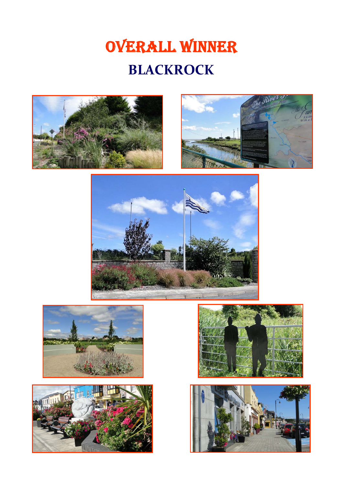# OVERALL WINNER **BLACKROCK**













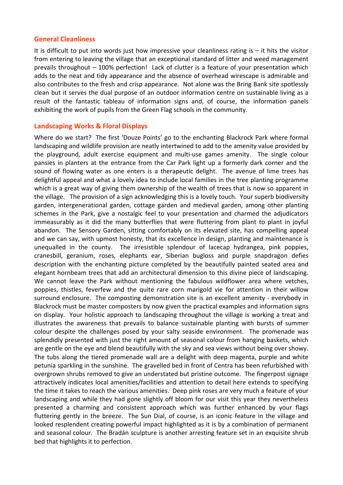#### **General Cleanliness**

It is difficult to put into words just how impressive your cleanliness rating is  $-$  it hits the visitor from entering to leaving the village that an exceptional standard of litter and weed management prevails throughout – 100% perfection! Lack of clutter is a feature of your presentation which adds to the neat and tidy appearance and the absence of overhead wirescape is admirable and also contributes to the fresh and crisp appearance. Not alone was the Bring Bank site spotlessly clean but it serves the dual purpose of an outdoor information centre on sustainable living as a result of the fantastic tableau of information signs and, of course, the information panels exhibiting the work of pupils from the Green Flag schools in the community.

### **Landscaping Works & Floral Displays**

Where do we start? The first 'Douze Points' go to the enchanting Blackrock Park where formal landscaping and wildlife provision are neatly intertwined to add to the amenity value provided by the playground, adult exercise equipment and multi‐use games amenity. The single colour pansies in planters at the entrance from the Car Park light up a formerly dark corner and the sound of flowing water as one enters is a therapeutic delight. The avenue of lime trees has delightful appeal and what a lovely idea to include local families in the tree planting programme which is a great way of giving them ownership of the wealth of trees that is now so apparent in the village. The provision of a sign acknowledging this is a lovely touch. Your superb biodiversity garden, intergenerational garden, cottage garden and medieval garden, among other planting schemes in the Park, give a nostalgic feel to your presentation and charmed the adjudicators immeasurably as it did the many butterflies that were fluttering from plant to plant in joyful abandon. The Sensory Garden, sitting comfortably on its elevated site, has compelling appeal and we can say, with upmost honesty, that its excellence in design, planting and maintenance is unequalled in the county. The irresistible splendour of lacecap hydrangea, pink poppies, cranesbill, geranium, roses, elephants ear, Siberian bugloss and purple snapdragon defies description with the enchanting picture completed by the beautifully painted seated area and elegant hornbeam trees that add an architectural dimension to this divine piece of landscaping. We cannot leave the Park without mentioning the fabulous wildflower area where vetches, poppies, thistles, feverfew and the quite rare corn marigold vie for attention in their willow surround enclosure. The composting demonstration site is an excellent amenity - everybody in Blackrock must be master composters by now given the practical examples and information signs on display. Your holistic approach to landscaping throughout the village is working a treat and illustrates the awareness that prevails to balance sustainable planting with bursts of summer colour despite the challenges posed by your salty seaside environment. The promenade was splendidly presented with just the right amount of seasonal colour from hanging baskets, which are gentle on the eye and blend beautifully with the sky and sea views without being over showy. The tubs along the tiered promenade wall are a delight with deep magenta, purple and white petunia sparkling in the sunshine. The gravelled bed in front of Centra has been refurbished with overgrown shrubs removed to give an understated but pristine outcome. The fingerpost signage attractively indicates local amenities/facilities and attention to detail here extends to specifying the time it takes to reach the various amenities. Deep pink roses are very much a feature of your landscaping and while they had gone slightly off bloom for our visit this year they nevertheless presented a charming and consistent approach which was further enhanced by your flags fluttering gently in the breeze. The Sun Dial, of course, is an iconic feature in the village and looked resplendent creating powerful impact highlighted as it is by a combination of permanent and seasonal colour. The Bradán sculpture is another arresting feature set in an exquisite shrub bed that highlights it to perfection.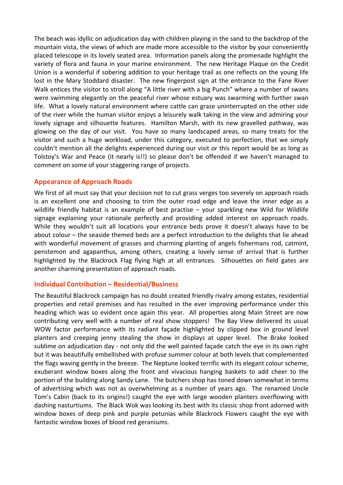The beach was idyllic on adjudication day with children playing in the sand to the backdrop of the mountain vista, the views of which are made more accessible to the visitor by your conveniently placed telescope in its lovely seated area. Information panels along the promenade highlight the variety of flora and fauna in your marine environment. The new Heritage Plaque on the Credit Union is a wonderful if sobering addition to your heritage trail as one reflects on the young life lost in the Mary Stoddard disaster. The new fingerpost sign at the entrance to the Fane River Walk entices the visitor to stroll along "A little river with a big Punch" where a number of swans were swimming elegantly on the peaceful river whose estuary was swarming with further swan life. What a lovely natural environment where cattle can graze uninterrupted on the other side of the river while the human visitor enjoys a leisurely walk taking in the view and admiring your lovely signage and silhouette features. Hamilton Marsh, with its new gravelled pathway, was glowing on the day of our visit. You have so many landscaped areas, so many treats for the visitor and such a huge workload, under this category, executed to perfection, that we simply couldn't mention all the delights experienced during our visit or this report would be as long as Tolstoy's War and Peace (it nearly is!!) so please don't be offended if we haven't managed to comment on some of your staggering range of projects.

## **Appearance of Approach Roads**

We first of all must say that your decision not to cut grass verges too severely on approach roads is an excellent one and choosing to trim the outer road edge and leave the inner edge as a wildlife friendly habitat is an example of best practise - your sparkling new Wild for Wildlife signage explaining your rationale perfectly and providing added interest on approach roads. While they wouldn't suit all locations your entrance beds prove it doesn't always have to be about colour – the seaside themed beds are a perfect introduction to the delights that lie ahead with wonderful movement of grasses and charming planting of angels fishermans rod, catmint, penstemon and agapanthus, among others, creating a lovely sense of arrival that is further highlighted by the Blackrock Flag flying high at all entrances. Silhouettes on field gates are another charming presentation of approach roads.

### **Individual Contribution – Residential/Business**

The Beautiful Blackrock campaign has no doubt created friendly rivalry among estates, residential properties and retail premises and has resulted in the ever improving performance under this heading which was so evident once again this year. All properties along Main Street are now contributing very well with a number of real show stoppers! The Bay View delivered its usual WOW factor performance with its radiant façade highlighted by clipped box in ground level planters and creeping jenny stealing the show in displays at upper level. The Brake looked sublime on adjudication day ‐ not only did the well painted façade catch the eye in its own right but it was beautifully embellished with profuse summer colour at both levels that complemented the flags waving gently in the breeze. The Neptune looked terrific with its elegant colour scheme, exuberant window boxes along the front and vivacious hanging baskets to add cheer to the portion of the building along Sandy Lane. The butchers shop has toned down somewhat in terms of advertising which was not as overwhelming as a number of years ago. The renamed Uncle Tom's Cabin (back to its origins!) caught the eye with large wooden planters overflowing with dashing nasturtiums. The Black Wok was looking its best with its classic shop front adorned with window boxes of deep pink and purple petunias while Blackrock Flowers caught the eye with fantastic window boxes of blood red geraniums.